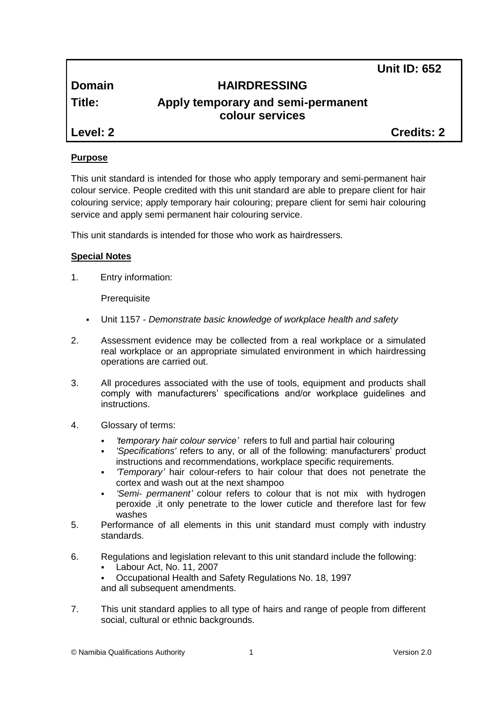**Unit ID: 652**

# **Domain HAIRDRESSING**

# **Title: Apply temporary and semi-permanent colour services**

**Level: 2 Credits: 2**

# **Purpose**

This unit standard is intended for those who apply temporary and semi-permanent hair colour service. People credited with this unit standard are able to prepare client for hair colouring service; apply temporary hair colouring; prepare client for semi hair colouring service and apply semi permanent hair colouring service.

This unit standards is intended for those who work as hairdressers.

# **Special Notes**

1. Entry information:

**Prerequisite** 

- Unit 1157 *Demonstrate basic knowledge of workplace health and safety*
- 2. Assessment evidence may be collected from a real workplace or a simulated real workplace or an appropriate simulated environment in which hairdressing operations are carried out.
- 3. All procedures associated with the use of tools, equipment and products shall comply with manufacturers' specifications and/or workplace guidelines and instructions.
- 4. Glossary of terms:
	- *'temporary hair colour service'* refers to full and partial hair colouring
	- *'Specifications'* refers to any, or all of the following: manufacturers' product instructions and recommendations, workplace specific requirements.
	- *'Temporary'* hair colour-refers to hair colour that does not penetrate the cortex and wash out at the next shampoo
	- *'Semi- permanent'* colour refers to colour that is not mix with hydrogen peroxide ,it only penetrate to the lower cuticle and therefore last for few washes
- 5. Performance of all elements in this unit standard must comply with industry standards.
- 6. Regulations and legislation relevant to this unit standard include the following:
	- Labour Act, No. 11, 2007
	- Occupational Health and Safety Regulations No. 18, 1997 and all subsequent amendments.
- 7. This unit standard applies to all type of hairs and range of people from different social, cultural or ethnic backgrounds.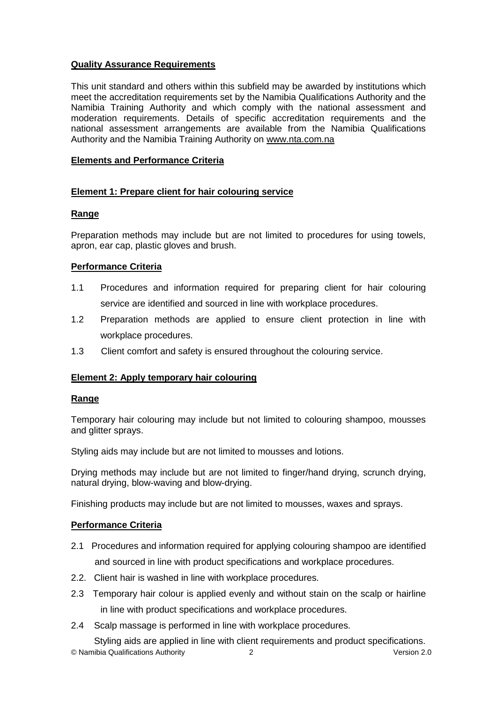# **Quality Assurance Requirements**

This unit standard and others within this subfield may be awarded by institutions which meet the accreditation requirements set by the Namibia Qualifications Authority and the Namibia Training Authority and which comply with the national assessment and moderation requirements. Details of specific accreditation requirements and the national assessment arrangements are available from the Namibia Qualifications Authority and the Namibia Training Authority on [www.nta.com.na](http://www.nta.com.na/)

# **Elements and Performance Criteria**

# **Element 1: Prepare client for hair colouring service**

#### **Range**

Preparation methods may include but are not limited to procedures for using towels, apron, ear cap, plastic gloves and brush.

#### **Performance Criteria**

- 1.1 Procedures and information required for preparing client for hair colouring service are identified and sourced in line with workplace procedures.
- 1.2 Preparation methods are applied to ensure client protection in line with workplace procedures.
- 1.3 Client comfort and safety is ensured throughout the colouring service.

# **Element 2: Apply temporary hair colouring**

#### **Range**

Temporary hair colouring may include but not limited to colouring shampoo, mousses and glitter sprays.

Styling aids may include but are not limited to mousses and lotions.

Drying methods may include but are not limited to finger/hand drying, scrunch drying, natural drying, blow-waving and blow-drying.

Finishing products may include but are not limited to mousses, waxes and sprays.

# **Performance Criteria**

- 2.1 Procedures and information required for applying colouring shampoo are identified and sourced in line with product specifications and workplace procedures.
- 2.2. Client hair is washed in line with workplace procedures.
- 2.3 Temporary hair colour is applied evenly and without stain on the scalp or hairline in line with product specifications and workplace procedures.
- 2.4 Scalp massage is performed in line with workplace procedures.

© Namibia Qualifications Authority 2 Version 2.0 Styling aids are applied in line with client requirements and product specifications.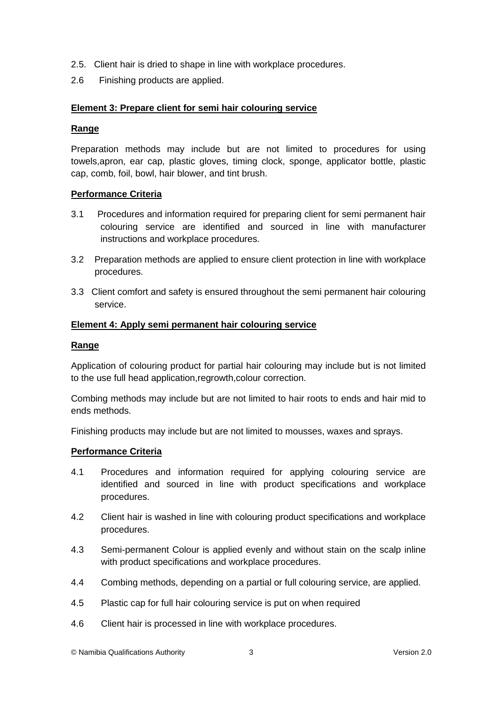- 2.5. Client hair is dried to shape in line with workplace procedures.
- 2.6 Finishing products are applied.

# **Element 3: Prepare client for semi hair colouring service**

#### **Range**

Preparation methods may include but are not limited to procedures for using towels,apron, ear cap, plastic gloves, timing clock, sponge, applicator bottle, plastic cap, comb, foil, bowl, hair blower, and tint brush.

#### **Performance Criteria**

- 3.1 Procedures and information required for preparing client for semi permanent hair colouring service are identified and sourced in line with manufacturer instructions and workplace procedures.
- 3.2 Preparation methods are applied to ensure client protection in line with workplace procedures.
- 3.3 Client comfort and safety is ensured throughout the semi permanent hair colouring service.

#### **Element 4: Apply semi permanent hair colouring service**

#### **Range**

Application of colouring product for partial hair colouring may include but is not limited to the use full head application,regrowth,colour correction.

Combing methods may include but are not limited to hair roots to ends and hair mid to ends methods.

Finishing products may include but are not limited to mousses, waxes and sprays.

# **Performance Criteria**

- 4.1 Procedures and information required for applying colouring service are identified and sourced in line with product specifications and workplace procedures.
- 4.2 Client hair is washed in line with colouring product specifications and workplace procedures.
- 4.3 Semi-permanent Colour is applied evenly and without stain on the scalp inline with product specifications and workplace procedures.
- 4.4 Combing methods, depending on a partial or full colouring service, are applied.
- 4.5 Plastic cap for full hair colouring service is put on when required
- 4.6 Client hair is processed in line with workplace procedures.